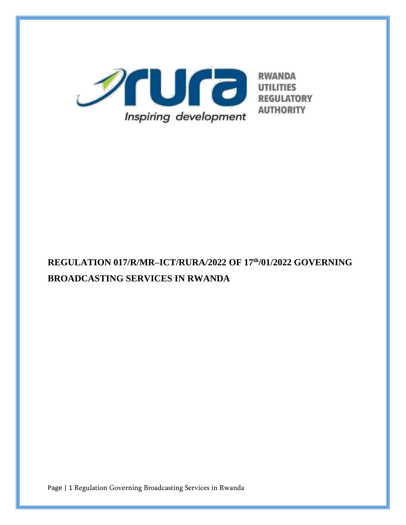

# **REGULATION 017/R/MR–ICT/RURA/2022 OF 17th/01/2022 GOVERNING BROADCASTING SERVICES IN RWANDA**

Page | 1 Regulation Governing Broadcasting Services in Rwanda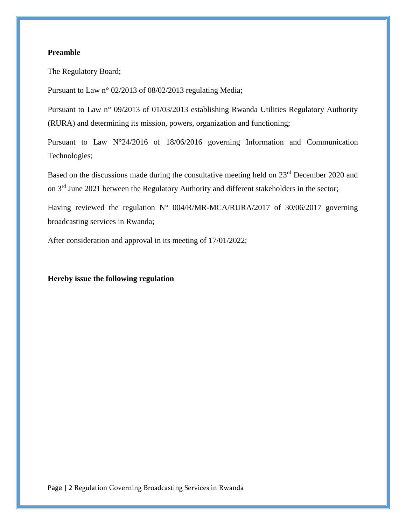## **Preamble**

The Regulatory Board;

Pursuant to Law n° 02/2013 of 08/02/2013 regulating Media;

Pursuant to Law n° 09/2013 of 01/03/2013 establishing Rwanda Utilities Regulatory Authority (RURA) and determining its mission, powers, organization and functioning;

Pursuant to Law N°24/2016 of 18/06/2016 governing Information and Communication Technologies;

Based on the discussions made during the consultative meeting held on 23<sup>rd</sup> December 2020 and on 3rd June 2021 between the Regulatory Authority and different stakeholders in the sector;

Having reviewed the regulation N° 004/R/MR-MCA/RURA/2017 of 30/06/2017 governing broadcasting services in Rwanda;

After consideration and approval in its meeting of 17/01/2022;

**Hereby issue the following regulation**

Page | 2 Regulation Governing Broadcasting Services in Rwanda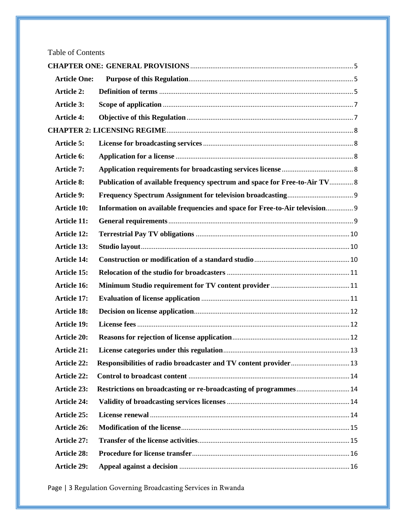# Table of Contents

| <b>Article One:</b> |                                                                            |  |  |  |  |
|---------------------|----------------------------------------------------------------------------|--|--|--|--|
| <b>Article 2:</b>   |                                                                            |  |  |  |  |
| <b>Article 3:</b>   |                                                                            |  |  |  |  |
| <b>Article 4:</b>   |                                                                            |  |  |  |  |
|                     |                                                                            |  |  |  |  |
| <b>Article 5:</b>   |                                                                            |  |  |  |  |
| Article 6:          |                                                                            |  |  |  |  |
| <b>Article 7:</b>   |                                                                            |  |  |  |  |
| <b>Article 8:</b>   | Publication of available frequency spectrum and space for Free-to-Air TV 8 |  |  |  |  |
| <b>Article 9:</b>   |                                                                            |  |  |  |  |
| <b>Article 10:</b>  | Information on available frequencies and space for Free-to-Air television  |  |  |  |  |
| <b>Article 11:</b>  |                                                                            |  |  |  |  |
| <b>Article 12:</b>  |                                                                            |  |  |  |  |
| <b>Article 13:</b>  |                                                                            |  |  |  |  |
| <b>Article 14:</b>  |                                                                            |  |  |  |  |
| Article 15:         |                                                                            |  |  |  |  |
| Article 16:         |                                                                            |  |  |  |  |
| <b>Article 17:</b>  |                                                                            |  |  |  |  |
| <b>Article 18:</b>  |                                                                            |  |  |  |  |
| <b>Article 19:</b>  |                                                                            |  |  |  |  |
| <b>Article 20:</b>  |                                                                            |  |  |  |  |
| <b>Article 21:</b>  |                                                                            |  |  |  |  |
| <b>Article 22:</b>  |                                                                            |  |  |  |  |
| <b>Article 22:</b>  |                                                                            |  |  |  |  |
| <b>Article 23:</b>  | Restrictions on broadcasting or re-broadcasting of programmes 14           |  |  |  |  |
| <b>Article 24:</b>  |                                                                            |  |  |  |  |
| <b>Article 25:</b>  |                                                                            |  |  |  |  |
| Article 26:         |                                                                            |  |  |  |  |
| Article 27:         |                                                                            |  |  |  |  |
| <b>Article 28:</b>  |                                                                            |  |  |  |  |
| <b>Article 29:</b>  |                                                                            |  |  |  |  |

Page | 3 Regulation Governing Broadcasting Services in Rwanda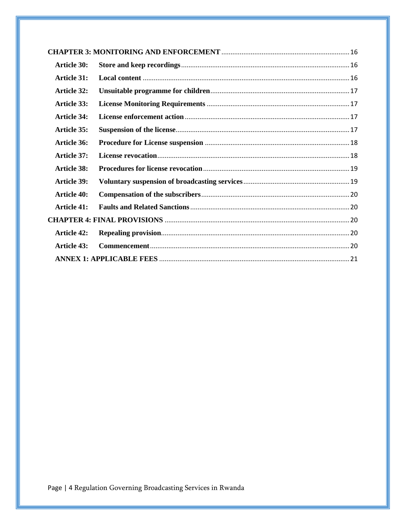| <b>Article 30:</b> |  |  |
|--------------------|--|--|
| <b>Article 31:</b> |  |  |
| Article 32:        |  |  |
| Article 33:        |  |  |
| <b>Article 34:</b> |  |  |
| Article 35:        |  |  |
| <b>Article 36:</b> |  |  |
| Article 37:        |  |  |
| <b>Article 38:</b> |  |  |
| <b>Article 39:</b> |  |  |
| <b>Article 40:</b> |  |  |
| Article 41:        |  |  |
|                    |  |  |
| <b>Article 42:</b> |  |  |
| Article 43:        |  |  |
|                    |  |  |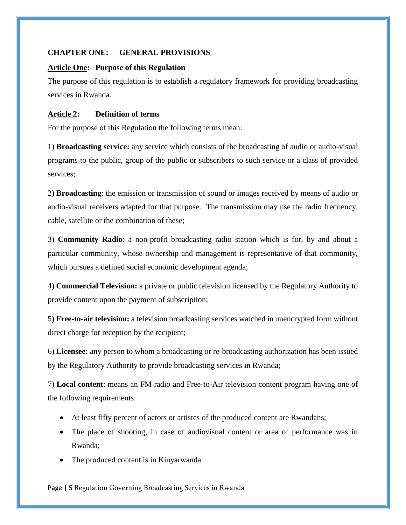## <span id="page-4-0"></span>**CHAPTER ONE: GENERAL PROVISIONS**

## <span id="page-4-1"></span>**Article One: Purpose of this Regulation**

The purpose of this regulation is to establish a regulatory framework for providing broadcasting services in Rwanda.

## <span id="page-4-2"></span>**Article 2: Definition of terms**

For the purpose of this Regulation the following terms mean:

1) **Broadcasting service:** any service which consists of the broadcasting of audio or audio-visual programs to the public, group of the public or subscribers to such service or a class of provided services;

2) **Broadcasting**: the emission or transmission of sound or images received by means of audio or audio-visual receivers adapted for that purpose. The transmission may use the radio frequency, cable, satellite or the combination of these;

3) **Community Radio**: a non-profit broadcasting radio station which is for, by and about a particular community, whose ownership and management is representative of that community, which pursues a defined social economic development agenda;

4) **Commercial Television:** a private or public television licensed by the Regulatory Authority to provide content upon the payment of subscription;

5) **Free-to-air television:** a television broadcasting services watched in unencrypted form without direct charge for reception by the recipient;

6) **Licensee:** any person to whom a broadcasting or re-broadcasting authorization has been issued by the Regulatory Authority to provide broadcasting services in Rwanda;

7) **Local content**: means an FM radio and Free-to-Air television content program having one of the following requirements:

- At least fifty percent of actors or artistes of the produced content are Rwandans;
- The place of shooting, in case of audiovisual content or area of performance was in Rwanda;
- The produced content is in Kinyarwanda.

Page | 5 Regulation Governing Broadcasting Services in Rwanda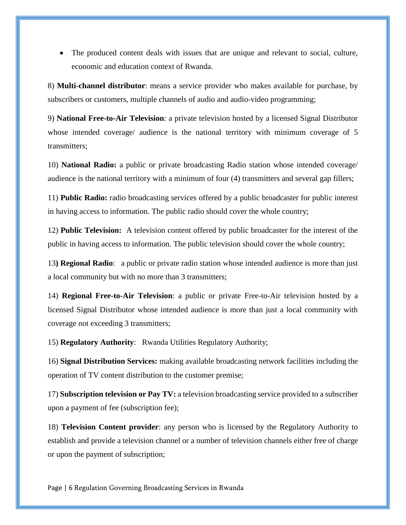The produced content deals with issues that are unique and relevant to social, culture, economic and education context of Rwanda.

8) **Multi-channel distributor**: means a service provider who makes available for purchase, by subscribers or customers, multiple channels of audio and audio-video programming;

9) **National Free-to-Air Television**: a private television hosted by a licensed Signal Distributor whose intended coverage/ audience is the national territory with minimum coverage of 5 transmitters;

10) **National Radio:** a public or private broadcasting Radio station whose intended coverage/ audience is the national territory with a minimum of four (4) transmitters and several gap fillers;

11) **Public Radio:** radio broadcasting services offered by a public broadcaster for public interest in having access to information. The public radio should cover the whole country;

12) **Public Television:** A television content offered by public broadcaster for the interest of the public in having access to information. The public television should cover the whole country;

13**) Regional Radio**: a public or private radio station whose intended audience is more than just a local community but with no more than 3 transmitters;

14) **Regional Free-to-Air Television**: a public or private Free-to-Air television hosted by a licensed Signal Distributor whose intended audience is more than just a local community with coverage not exceeding 3 transmitters;

15) **Regulatory Authority**: Rwanda Utilities Regulatory Authority;

16) **Signal Distribution Services:** making available broadcasting network facilities including the operation of TV content distribution to the customer premise;

17) **Subscription television or Pay TV:** a television broadcasting service provided to a subscriber upon a payment of fee (subscription fee);

18) **Television Content provider**: any person who is licensed by the Regulatory Authority to establish and provide a television channel or a number of television channels either free of charge or upon the payment of subscription;

Page | 6 Regulation Governing Broadcasting Services in Rwanda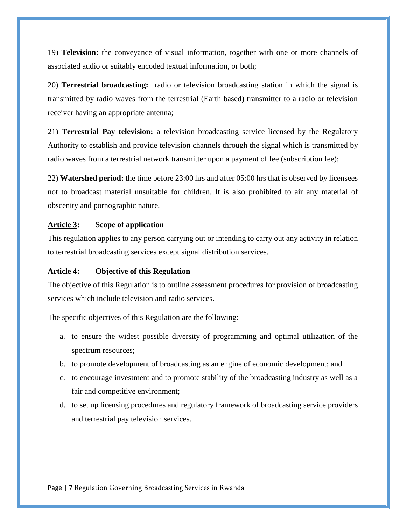19) **Television:** the conveyance of visual information, together with one or more channels of associated audio or suitably encoded textual information, or both;

20) **Terrestrial broadcasting:** radio or television broadcasting station in which the signal is transmitted by radio waves from the terrestrial (Earth based) transmitter to a radio or television receiver having an appropriate antenna;

21) **Terrestrial Pay television:** a television broadcasting service licensed by the Regulatory Authority to establish and provide television channels through the signal which is transmitted by radio waves from a terrestrial network transmitter upon a payment of fee (subscription fee);

22) **Watershed period:** the time before 23:00 hrs and after 05:00 hrs that is observed by licensees not to broadcast material unsuitable for children. It is also prohibited to air any material of obscenity and pornographic nature.

#### <span id="page-6-0"></span>**Article 3: Scope of application**

This regulation applies to any person carrying out or intending to carry out any activity in relation to terrestrial broadcasting services except signal distribution services.

#### <span id="page-6-1"></span>**Article 4: Objective of this Regulation**

The objective of this Regulation is to outline assessment procedures for provision of broadcasting services which include television and radio services.

The specific objectives of this Regulation are the following:

- a. to ensure the widest possible diversity of programming and optimal utilization of the spectrum resources;
- b. to promote development of broadcasting as an engine of economic development; and
- c. to encourage investment and to promote stability of the broadcasting industry as well as a fair and competitive environment;
- d. to set up licensing procedures and regulatory framework of broadcasting service providers and terrestrial pay television services.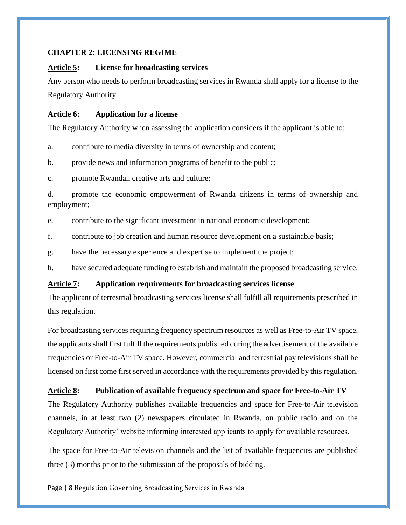## <span id="page-7-0"></span>**CHAPTER 2: LICENSING REGIME**

## <span id="page-7-1"></span>**Article 5: License for broadcasting services**

Any person who needs to perform broadcasting services in Rwanda shall apply for a license to the Regulatory Authority.

## <span id="page-7-2"></span>**Article 6: Application for a license**

The Regulatory Authority when assessing the application considers if the applicant is able to:

a. contribute to media diversity in terms of ownership and content;

b. provide news and information programs of benefit to the public;

c. promote Rwandan creative arts and culture;

d. promote the economic empowerment of Rwanda citizens in terms of ownership and employment;

e. contribute to the significant investment in national economic development;

f. contribute to job creation and human resource development on a sustainable basis;

g. have the necessary experience and expertise to implement the project;

h. have secured adequate funding to establish and maintain the proposed broadcasting service.

## <span id="page-7-3"></span>**Article 7: Application requirements for broadcasting services license**

The applicant of terrestrial broadcasting services license shall fulfill all requirements prescribed in this regulation.

For broadcasting services requiring frequency spectrum resources as well as Free-to-Air TV space, the applicants shall first fulfill the requirements published during the advertisement of the available frequencies or Free-to-Air TV space. However, commercial and terrestrial pay televisions shall be licensed on first come first served in accordance with the requirements provided by this regulation.

## <span id="page-7-4"></span>**Article 8: Publication of available frequency spectrum and space for Free-to-Air TV**

The Regulatory Authority publishes available frequencies and space for Free-to-Air television channels, in at least two (2) newspapers circulated in Rwanda, on public radio and on the Regulatory Authority' website informing interested applicants to apply for available resources.

The space for Free-to-Air television channels and the list of available frequencies are published three (3) months prior to the submission of the proposals of bidding.

Page | 8 Regulation Governing Broadcasting Services in Rwanda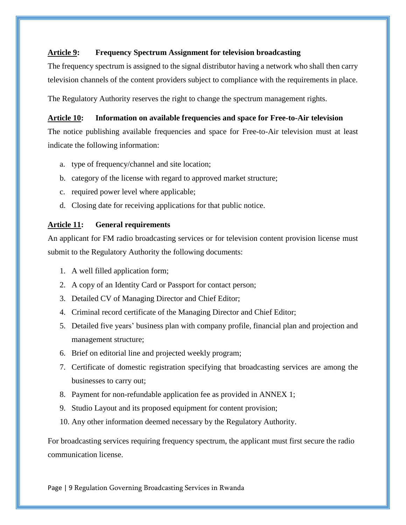## <span id="page-8-0"></span>**Article 9: Frequency Spectrum Assignment for television broadcasting**

The frequency spectrum is assigned to the signal distributor having a network who shall then carry television channels of the content providers subject to compliance with the requirements in place.

The Regulatory Authority reserves the right to change the spectrum management rights.

## <span id="page-8-1"></span>**Article 10: Information on available frequencies and space for Free-to-Air television**

The notice publishing available frequencies and space for Free-to-Air television must at least indicate the following information:

- a. type of frequency/channel and site location;
- b. category of the license with regard to approved market structure;
- c. required power level where applicable;
- d. Closing date for receiving applications for that public notice.

## <span id="page-8-2"></span>**Article 11: General requirements**

An applicant for FM radio broadcasting services or for television content provision license must submit to the Regulatory Authority the following documents:

- 1. A well filled application form;
- 2. A copy of an Identity Card or Passport for contact person;
- 3. Detailed CV of Managing Director and Chief Editor;
- 4. Criminal record certificate of the Managing Director and Chief Editor;
- 5. Detailed five years' business plan with company profile, financial plan and projection and management structure;
- 6. Brief on editorial line and projected weekly program;
- 7. Certificate of domestic registration specifying that broadcasting services are among the businesses to carry out;
- 8. Payment for non-refundable application fee as provided in ANNEX 1;
- 9. Studio Layout and its proposed equipment for content provision;
- 10. Any other information deemed necessary by the Regulatory Authority.

For broadcasting services requiring frequency spectrum, the applicant must first secure the radio communication license.

Page | 9 Regulation Governing Broadcasting Services in Rwanda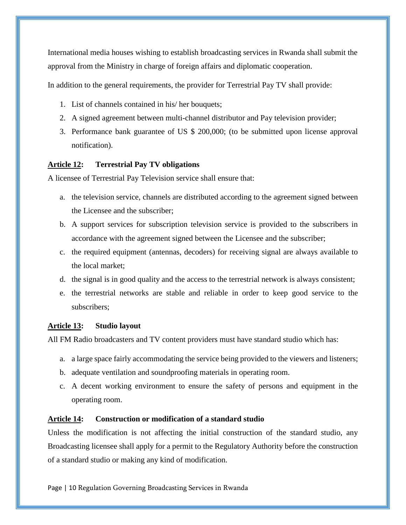International media houses wishing to establish broadcasting services in Rwanda shall submit the approval from the Ministry in charge of foreign affairs and diplomatic cooperation.

In addition to the general requirements, the provider for Terrestrial Pay TV shall provide:

- 1. List of channels contained in his/ her bouquets;
- 2. A signed agreement between multi-channel distributor and Pay television provider;
- 3. Performance bank guarantee of US \$ 200,000; (to be submitted upon license approval notification).

## <span id="page-9-0"></span>**Article 12: Terrestrial Pay TV obligations**

A licensee of Terrestrial Pay Television service shall ensure that:

- a. the television service, channels are distributed according to the agreement signed between the Licensee and the subscriber;
- b. A support services for subscription television service is provided to the subscribers in accordance with the agreement signed between the Licensee and the subscriber;
- c. the required equipment (antennas, decoders) for receiving signal are always available to the local market;
- d. the signal is in good quality and the access to the terrestrial network is always consistent;
- e. the terrestrial networks are stable and reliable in order to keep good service to the subscribers;

## <span id="page-9-1"></span>**Article 13: Studio layout**

All FM Radio broadcasters and TV content providers must have standard studio which has:

- a. a large space fairly accommodating the service being provided to the viewers and listeners;
- b. adequate ventilation and soundproofing materials in operating room.
- c. A decent working environment to ensure the safety of persons and equipment in the operating room.

## <span id="page-9-2"></span>**Article 14: Construction or modification of a standard studio**

Unless the modification is not affecting the initial construction of the standard studio, any Broadcasting licensee shall apply for a permit to the Regulatory Authority before the construction of a standard studio or making any kind of modification.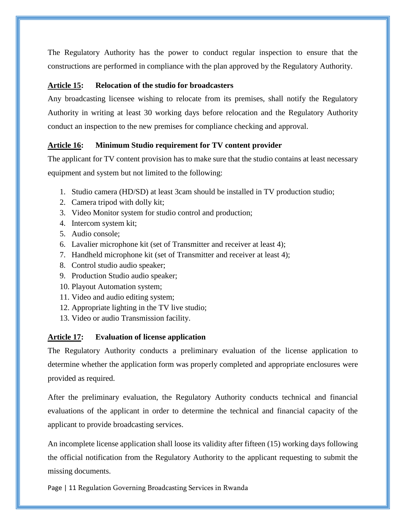The Regulatory Authority has the power to conduct regular inspection to ensure that the constructions are performed in compliance with the plan approved by the Regulatory Authority.

## <span id="page-10-0"></span>**Article 15: Relocation of the studio for broadcasters**

Any broadcasting licensee wishing to relocate from its premises, shall notify the Regulatory Authority in writing at least 30 working days before relocation and the Regulatory Authority conduct an inspection to the new premises for compliance checking and approval.

## <span id="page-10-1"></span>**Article 16: Minimum Studio requirement for TV content provider**

The applicant for TV content provision has to make sure that the studio contains at least necessary equipment and system but not limited to the following:

- 1. Studio camera (HD/SD) at least 3cam should be installed in TV production studio;
- 2. Camera tripod with dolly kit;
- 3. Video Monitor system for studio control and production;
- 4. Intercom system kit;
- 5. Audio console;
- 6. Lavalier microphone kit (set of Transmitter and receiver at least 4);
- 7. Handheld microphone kit (set of Transmitter and receiver at least 4);
- 8. Control studio audio speaker;
- 9. Production Studio audio speaker;
- 10. Playout Automation system;
- 11. Video and audio editing system;
- 12. Appropriate lighting in the TV live studio;
- 13. Video or audio Transmission facility.

## <span id="page-10-2"></span>**Article 17: Evaluation of license application**

The Regulatory Authority conducts a preliminary evaluation of the license application to determine whether the application form was properly completed and appropriate enclosures were provided as required.

After the preliminary evaluation, the Regulatory Authority conducts technical and financial evaluations of the applicant in order to determine the technical and financial capacity of the applicant to provide broadcasting services.

An incomplete license application shall loose its validity after fifteen (15) working days following the official notification from the Regulatory Authority to the applicant requesting to submit the missing documents.

Page | 11 Regulation Governing Broadcasting Services in Rwanda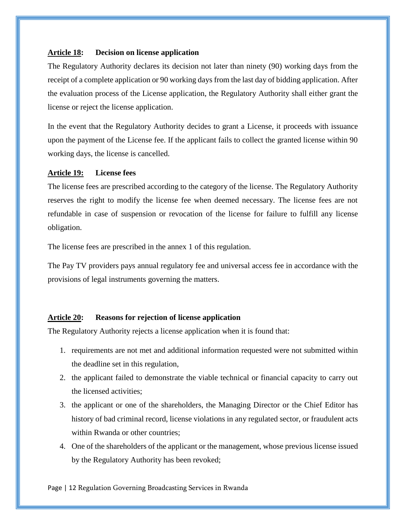## <span id="page-11-0"></span>**Article 18: Decision on license application**

The Regulatory Authority declares its decision not later than ninety (90) working days from the receipt of a complete application or 90 working days from the last day of bidding application. After the evaluation process of the License application, the Regulatory Authority shall either grant the license or reject the license application.

In the event that the Regulatory Authority decides to grant a License, it proceeds with issuance upon the payment of the License fee. If the applicant fails to collect the granted license within 90 working days, the license is cancelled.

#### <span id="page-11-1"></span>**Article 19: License fees**

The license fees are prescribed according to the category of the license. The Regulatory Authority reserves the right to modify the license fee when deemed necessary. The license fees are not refundable in case of suspension or revocation of the license for failure to fulfill any license obligation.

The license fees are prescribed in the annex 1 of this regulation.

The Pay TV providers pays annual regulatory fee and universal access fee in accordance with the provisions of legal instruments governing the matters.

#### <span id="page-11-2"></span>**Article 20: Reasons for rejection of license application**

The Regulatory Authority rejects a license application when it is found that:

- 1. requirements are not met and additional information requested were not submitted within the deadline set in this regulation,
- 2. the applicant failed to demonstrate the viable technical or financial capacity to carry out the licensed activities;
- 3. the applicant or one of the shareholders, the Managing Director or the Chief Editor has history of bad criminal record, license violations in any regulated sector, or fraudulent acts within Rwanda or other countries;
- 4. One of the shareholders of the applicant or the management, whose previous license issued by the Regulatory Authority has been revoked;

Page | 12 Regulation Governing Broadcasting Services in Rwanda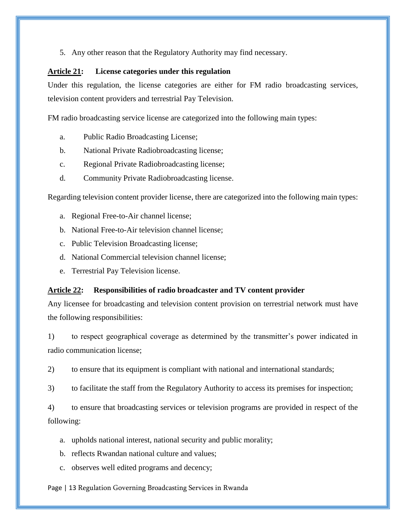5. Any other reason that the Regulatory Authority may find necessary.

#### <span id="page-12-0"></span>**Article 21: License categories under this regulation**

Under this regulation, the license categories are either for FM radio broadcasting services, television content providers and terrestrial Pay Television.

FM radio broadcasting service license are categorized into the following main types:

- a. Public Radio Broadcasting License;
- b. National Private Radiobroadcasting license;
- c. Regional Private Radiobroadcasting license;
- d. Community Private Radiobroadcasting license.

Regarding television content provider license, there are categorized into the following main types:

- a. Regional Free-to-Air channel license;
- b. National Free-to-Air television channel license;
- c. Public Television Broadcasting license;
- d. National Commercial television channel license;
- e. Terrestrial Pay Television license.

#### <span id="page-12-1"></span>**Article 22: Responsibilities of radio broadcaster and TV content provider**

Any licensee for broadcasting and television content provision on terrestrial network must have the following responsibilities:

1) to respect geographical coverage as determined by the transmitter's power indicated in radio communication license;

2) to ensure that its equipment is compliant with national and international standards;

3) to facilitate the staff from the Regulatory Authority to access its premises for inspection;

4) to ensure that broadcasting services or television programs are provided in respect of the following:

- a. upholds national interest, national security and public morality;
- b. reflects Rwandan national culture and values;
- c. observes well edited programs and decency;

Page | 13 Regulation Governing Broadcasting Services in Rwanda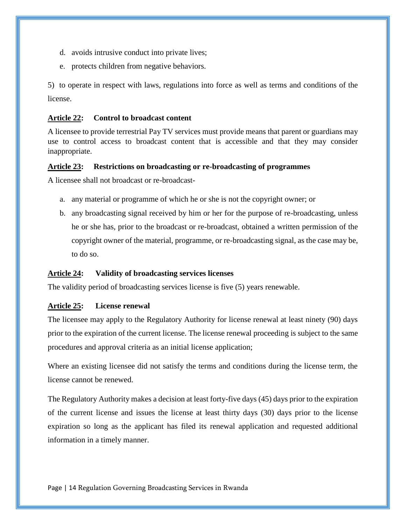- d. avoids intrusive conduct into private lives;
- e. protects children from negative behaviors.

5) to operate in respect with laws, regulations into force as well as terms and conditions of the license.

#### <span id="page-13-0"></span>**Article 22: Control to broadcast content**

A licensee to provide terrestrial Pay TV services must provide means that parent or guardians may use to control access to broadcast content that is accessible and that they may consider inappropriate.

#### <span id="page-13-1"></span>**Article 23: Restrictions on broadcasting or re-broadcasting of programmes**

A licensee shall not broadcast or re-broadcast-

- a. any material or programme of which he or she is not the copyright owner; or
- b. any broadcasting signal received by him or her for the purpose of re-broadcasting, unless he or she has, prior to the broadcast or re-broadcast, obtained a written permission of the copyright owner of the material, programme, or re-broadcasting signal, as the case may be, to do so.

## <span id="page-13-2"></span>**Article 24: Validity of broadcasting services licenses**

The validity period of broadcasting services license is five (5) years renewable.

## <span id="page-13-3"></span>**Article 25: License renewal**

The licensee may apply to the Regulatory Authority for license renewal at least ninety (90) days prior to the expiration of the current license. The license renewal proceeding is subject to the same procedures and approval criteria as an initial license application;

Where an existing licensee did not satisfy the terms and conditions during the license term, the license cannot be renewed.

The Regulatory Authority makes a decision at least forty-five days (45) days prior to the expiration of the current license and issues the license at least thirty days (30) days prior to the license expiration so long as the applicant has filed its renewal application and requested additional information in a timely manner.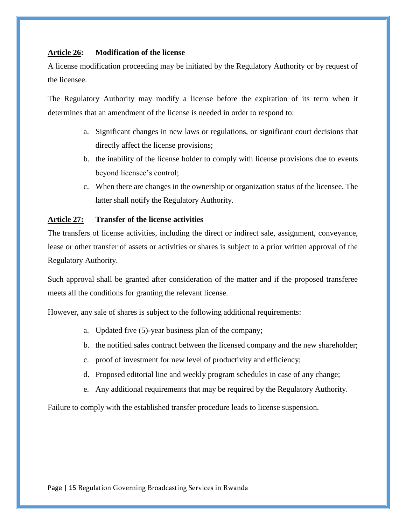## <span id="page-14-0"></span>**Article 26: Modification of the license**

A license modification proceeding may be initiated by the Regulatory Authority or by request of the licensee.

The Regulatory Authority may modify a license before the expiration of its term when it determines that an amendment of the license is needed in order to respond to:

- a. Significant changes in new laws or regulations, or significant court decisions that directly affect the license provisions;
- b. the inability of the license holder to comply with license provisions due to events beyond licensee's control;
- c. When there are changes in the ownership or organization status of the licensee. The latter shall notify the Regulatory Authority.

## <span id="page-14-1"></span>**Article 27: Transfer of the license activities**

The transfers of license activities, including the direct or indirect sale, assignment, conveyance, lease or other transfer of assets or activities or shares is subject to a prior written approval of the Regulatory Authority.

Such approval shall be granted after consideration of the matter and if the proposed transferee meets all the conditions for granting the relevant license.

However, any sale of shares is subject to the following additional requirements:

- a. Updated five (5)-year business plan of the company;
- b. the notified sales contract between the licensed company and the new shareholder;
- c. proof of investment for new level of productivity and efficiency;
- d. Proposed editorial line and weekly program schedules in case of any change;
- e. Any additional requirements that may be required by the Regulatory Authority.

Failure to comply with the established transfer procedure leads to license suspension.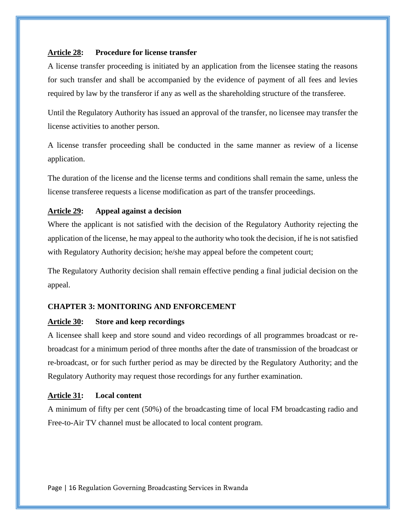#### <span id="page-15-0"></span>**Article 28: Procedure for license transfer**

A license transfer proceeding is initiated by an application from the licensee stating the reasons for such transfer and shall be accompanied by the evidence of payment of all fees and levies required by law by the transferor if any as well as the shareholding structure of the transferee.

Until the Regulatory Authority has issued an approval of the transfer, no licensee may transfer the license activities to another person.

A license transfer proceeding shall be conducted in the same manner as review of a license application.

The duration of the license and the license terms and conditions shall remain the same, unless the license transferee requests a license modification as part of the transfer proceedings.

#### <span id="page-15-1"></span>**Article 29: Appeal against a decision**

Where the applicant is not satisfied with the decision of the Regulatory Authority rejecting the application of the license, he may appeal to the authority who took the decision, if he is not satisfied with Regulatory Authority decision; he/she may appeal before the competent court;

The Regulatory Authority decision shall remain effective pending a final judicial decision on the appeal.

## <span id="page-15-2"></span>**CHAPTER 3: MONITORING AND ENFORCEMENT**

#### <span id="page-15-3"></span>**Article 30: Store and keep recordings**

A licensee shall keep and store sound and video recordings of all programmes broadcast or rebroadcast for a minimum period of three months after the date of transmission of the broadcast or re-broadcast, or for such further period as may be directed by the Regulatory Authority; and the Regulatory Authority may request those recordings for any further examination.

## <span id="page-15-4"></span>**Article 31: Local content**

A minimum of fifty per cent (50%) of the broadcasting time of local FM broadcasting radio and Free-to-Air TV channel must be allocated to local content program.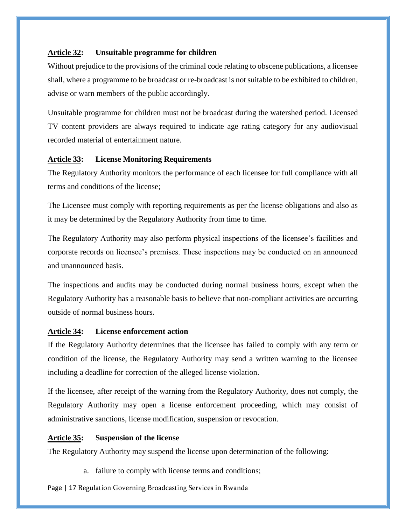## <span id="page-16-0"></span>**Article 32: Unsuitable programme for children**

Without prejudice to the provisions of the criminal code relating to obscene publications, a licensee shall, where a programme to be broadcast or re-broadcast is not suitable to be exhibited to children, advise or warn members of the public accordingly.

Unsuitable programme for children must not be broadcast during the watershed period. Licensed TV content providers are always required to indicate age rating category for any audiovisual recorded material of entertainment nature.

## <span id="page-16-1"></span>**Article 33: License Monitoring Requirements**

The Regulatory Authority monitors the performance of each licensee for full compliance with all terms and conditions of the license;

The Licensee must comply with reporting requirements as per the license obligations and also as it may be determined by the Regulatory Authority from time to time.

The Regulatory Authority may also perform physical inspections of the licensee's facilities and corporate records on licensee's premises. These inspections may be conducted on an announced and unannounced basis.

The inspections and audits may be conducted during normal business hours, except when the Regulatory Authority has a reasonable basis to believe that non-compliant activities are occurring outside of normal business hours.

## <span id="page-16-2"></span>**Article 34: License enforcement action**

If the Regulatory Authority determines that the licensee has failed to comply with any term or condition of the license, the Regulatory Authority may send a written warning to the licensee including a deadline for correction of the alleged license violation.

If the licensee, after receipt of the warning from the Regulatory Authority, does not comply, the Regulatory Authority may open a license enforcement proceeding, which may consist of administrative sanctions, license modification, suspension or revocation.

## <span id="page-16-3"></span>**Article 35: Suspension of the license**

The Regulatory Authority may suspend the license upon determination of the following:

a. failure to comply with license terms and conditions;

Page | 17 Regulation Governing Broadcasting Services in Rwanda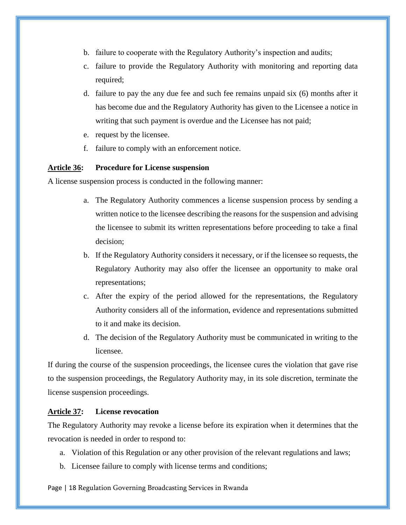- b. failure to cooperate with the Regulatory Authority's inspection and audits;
- c. failure to provide the Regulatory Authority with monitoring and reporting data required;
- d. failure to pay the any due fee and such fee remains unpaid six (6) months after it has become due and the Regulatory Authority has given to the Licensee a notice in writing that such payment is overdue and the Licensee has not paid;
- e. request by the licensee.
- f. failure to comply with an enforcement notice.

#### <span id="page-17-0"></span>**Article 36: Procedure for License suspension**

A license suspension process is conducted in the following manner:

- a. The Regulatory Authority commences a license suspension process by sending a written notice to the licensee describing the reasons for the suspension and advising the licensee to submit its written representations before proceeding to take a final decision;
- b. If the Regulatory Authority considers it necessary, or if the licensee so requests, the Regulatory Authority may also offer the licensee an opportunity to make oral representations;
- c. After the expiry of the period allowed for the representations, the Regulatory Authority considers all of the information, evidence and representations submitted to it and make its decision.
- d. The decision of the Regulatory Authority must be communicated in writing to the licensee.

If during the course of the suspension proceedings, the licensee cures the violation that gave rise to the suspension proceedings, the Regulatory Authority may, in its sole discretion, terminate the license suspension proceedings.

#### <span id="page-17-1"></span>**Article 37: License revocation**

The Regulatory Authority may revoke a license before its expiration when it determines that the revocation is needed in order to respond to:

- a. Violation of this Regulation or any other provision of the relevant regulations and laws;
- b. Licensee failure to comply with license terms and conditions;

Page | 18 Regulation Governing Broadcasting Services in Rwanda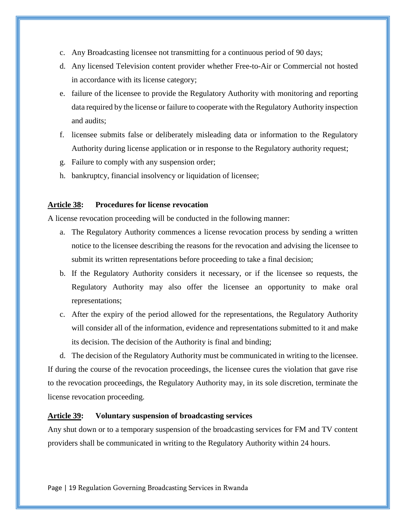- c. Any Broadcasting licensee not transmitting for a continuous period of 90 days;
- d. Any licensed Television content provider whether Free-to-Air or Commercial not hosted in accordance with its license category;
- e. failure of the licensee to provide the Regulatory Authority with monitoring and reporting data required by the license or failure to cooperate with the Regulatory Authority inspection and audits;
- f. licensee submits false or deliberately misleading data or information to the Regulatory Authority during license application or in response to the Regulatory authority request;
- g. Failure to comply with any suspension order;
- h. bankruptcy, financial insolvency or liquidation of licensee;

#### <span id="page-18-0"></span>**Article 38: Procedures for license revocation**

A license revocation proceeding will be conducted in the following manner:

- a. The Regulatory Authority commences a license revocation process by sending a written notice to the licensee describing the reasons for the revocation and advising the licensee to submit its written representations before proceeding to take a final decision;
- b. If the Regulatory Authority considers it necessary, or if the licensee so requests, the Regulatory Authority may also offer the licensee an opportunity to make oral representations;
- c. After the expiry of the period allowed for the representations, the Regulatory Authority will consider all of the information, evidence and representations submitted to it and make its decision. The decision of the Authority is final and binding;

d. The decision of the Regulatory Authority must be communicated in writing to the licensee. If during the course of the revocation proceedings, the licensee cures the violation that gave rise to the revocation proceedings, the Regulatory Authority may, in its sole discretion, terminate the license revocation proceeding.

#### <span id="page-18-1"></span>**Article 39: Voluntary suspension of broadcasting services**

Any shut down or to a temporary suspension of the broadcasting services for FM and TV content providers shall be communicated in writing to the Regulatory Authority within 24 hours.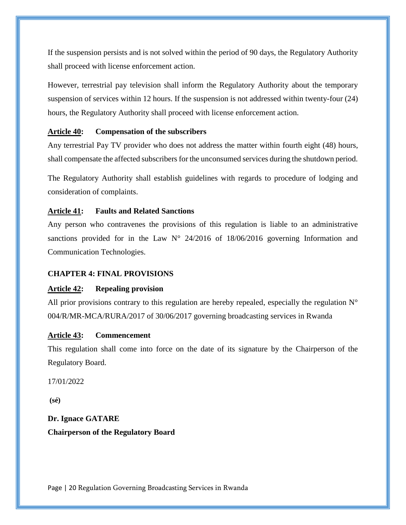If the suspension persists and is not solved within the period of 90 days, the Regulatory Authority shall proceed with license enforcement action.

However, terrestrial pay television shall inform the Regulatory Authority about the temporary suspension of services within 12 hours. If the suspension is not addressed within twenty-four (24) hours, the Regulatory Authority shall proceed with license enforcement action.

#### <span id="page-19-0"></span>**Article 40: Compensation of the subscribers**

Any terrestrial Pay TV provider who does not address the matter within fourth eight (48) hours, shall compensate the affected subscribers for the unconsumed services during the shutdown period.

The Regulatory Authority shall establish guidelines with regards to procedure of lodging and consideration of complaints.

#### <span id="page-19-1"></span>**Article 41: Faults and Related Sanctions**

Any person who contravenes the provisions of this regulation is liable to an administrative sanctions provided for in the Law  $N^{\circ}$  24/2016 of 18/06/2016 governing Information and Communication Technologies.

#### <span id="page-19-2"></span>**CHAPTER 4: FINAL PROVISIONS**

#### <span id="page-19-3"></span>**Article 42: Repealing provision**

All prior provisions contrary to this regulation are hereby repealed, especially the regulation  $N^{\circ}$ 004/R/MR-MCA/RURA/2017 of 30/06/2017 governing broadcasting services in Rwanda

#### <span id="page-19-4"></span>**Article 43: Commencement**

This regulation shall come into force on the date of its signature by the Chairperson of the Regulatory Board.

17/01/2022

**(sé)**

**Dr. Ignace GATARE Chairperson of the Regulatory Board**

Page | 20 Regulation Governing Broadcasting Services in Rwanda